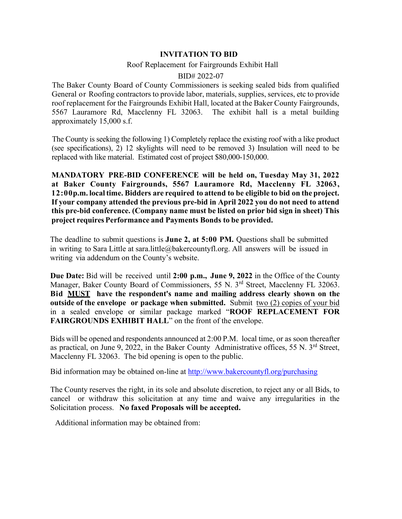## **INVITATION TO BID**

## Roof Replacement for Fairgrounds Exhibit Hall

## BID# 2022-07

The Baker County Board of County Commissioners is seeking sealed bids from qualified General or Roofing contractors to provide labor, materials, supplies, services, etc to provide roof replacement for the Fairgrounds Exhibit Hall, located at the Baker County Fairgrounds, 5567 Lauramore Rd, Macclenny FL 32063. The exhibit hall is a metal building approximately 15,000 s.f.

The County is seeking the following 1) Completely replace the existing roof with a like product (see specifications), 2) 12 skylights will need to be removed 3) Insulation will need to be replaced with like material. Estimated cost of project \$80,000-150,000.

**MANDATORY PRE-BID CONFERENCE will be held on, Tuesday May 31, 2022 at Baker County Fairgrounds, 5567 Lauramore Rd, Macclenny FL 32063, 12:00p.m. localtime. Bidders are required to attend to be eligible to bid on the project. If your company attended the previous pre-bid in April 2022 you do not need to attend this pre-bid conference. (Company name must be listed on prior bid sign in sheet) This project requiresPerformance and Payments Bonds to be provided.**

The deadline to submit questions is **June 2, at 5:00 PM.** Questions shall be submitted in writing to Sara Little at sara.little@bakercountyfl.org. All answers will be issued in writing via addendum on the County's website.

**Due Date:** Bid will be received until **2:00 p.m., June 9, 2022** in the Office of the County Manager, Baker County Board of Commissioners, 55 N. 3<sup>rd</sup> Street, Macclenny FL 32063. **Bid MUST have the respondent's name and mailing address clearly shown on the outside of the envelope or package when submitted.** Submit two (2) copies of your bid in a sealed envelope or similar package marked "**ROOF REPLACEMENT FOR FAIRGROUNDS EXHIBIT HALL**" on the front of the envelope.

Bids will be opened and respondents announced at 2:00 P.M. local time, or as soon thereafter as practical, on June 9, 2022, in the Baker County Administrative offices, 55 N.  $3<sup>rd</sup>$  Street, Macclenny FL 32063. The bid opening is open to the public.

Bid information may be obtained on-line at <http://www.bakercountyfl.org/purchasing>

The County reserves the right, in its sole and absolute discretion, to reject any or all Bids, to cancel or withdraw this solicitation at any time and waive any irregularities in the Solicitation process. **No faxed Proposals will be accepted.**

Additional information may be obtained from: